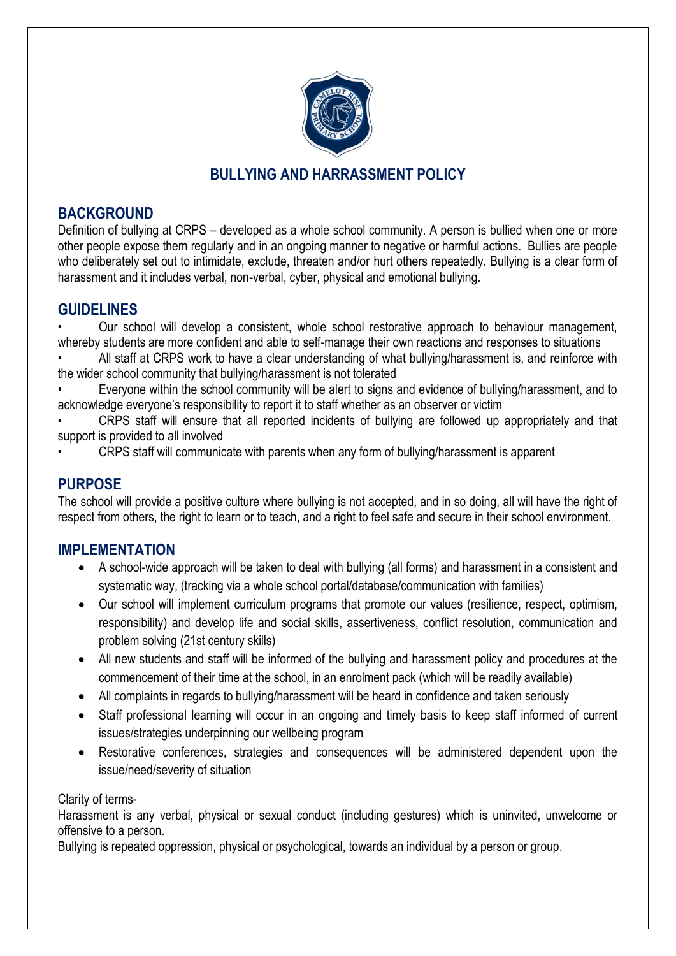

# **BULLYING AND HARRASSMENT POLICY**

## **BACKGROUND**

Definition of bullying at CRPS – developed as a whole school community. A person is bullied when one or more other people expose them regularly and in an ongoing manner to negative or harmful actions. Bullies are people who deliberately set out to intimidate, exclude, threaten and/or hurt others repeatedly. Bullying is a clear form of harassment and it includes verbal, non-verbal, cyber, physical and emotional bullying.

## **GUIDELINES**

• Our school will develop a consistent, whole school restorative approach to behaviour management, whereby students are more confident and able to self-manage their own reactions and responses to situations

All staff at CRPS work to have a clear understanding of what bullying/harassment is, and reinforce with the wider school community that bullying/harassment is not tolerated

• Everyone within the school community will be alert to signs and evidence of bullying/harassment, and to acknowledge everyone's responsibility to report it to staff whether as an observer or victim

• CRPS staff will ensure that all reported incidents of bullying are followed up appropriately and that support is provided to all involved

• CRPS staff will communicate with parents when any form of bullying/harassment is apparent

### **PURPOSE**

The school will provide a positive culture where bullying is not accepted, and in so doing, all will have the right of respect from others, the right to learn or to teach, and a right to feel safe and secure in their school environment.

### **IMPLEMENTATION**

- A school-wide approach will be taken to deal with bullying (all forms) and harassment in a consistent and systematic way, (tracking via a whole school portal/database/communication with families)
- Our school will implement curriculum programs that promote our values (resilience, respect, optimism, responsibility) and develop life and social skills, assertiveness, conflict resolution, communication and problem solving (21st century skills)
- All new students and staff will be informed of the bullying and harassment policy and procedures at the commencement of their time at the school, in an enrolment pack (which will be readily available)
- All complaints in regards to bullying/harassment will be heard in confidence and taken seriously
- Staff professional learning will occur in an ongoing and timely basis to keep staff informed of current issues/strategies underpinning our wellbeing program
- Restorative conferences, strategies and consequences will be administered dependent upon the issue/need/severity of situation

Clarity of terms-

Harassment is any verbal, physical or sexual conduct (including gestures) which is uninvited, unwelcome or offensive to a person.

Bullying is repeated oppression, physical or psychological, towards an individual by a person or group.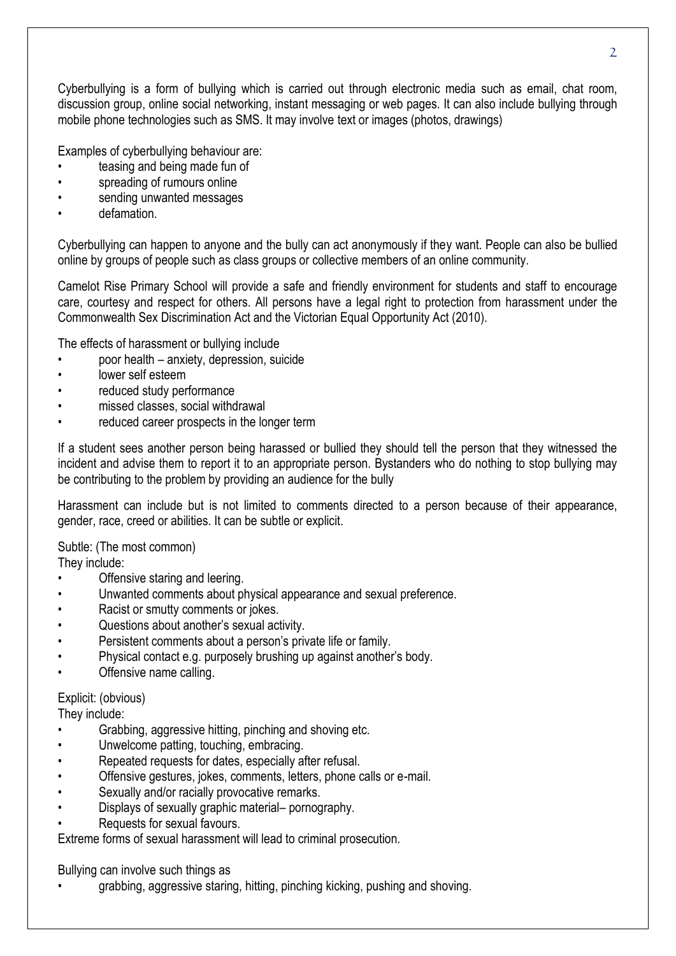Cyberbullying is a form of bullying which is carried out through electronic media such as email, chat room, discussion group, online social networking, instant messaging or web pages. It can also include bullying through mobile phone technologies such as SMS. It may involve text or images (photos, drawings)

Examples of cyberbullying behaviour are:

- teasing and being made fun of
- spreading of rumours online
- sending unwanted messages
- defamation.

Cyberbullying can happen to anyone and the bully can act anonymously if they want. People can also be bullied online by groups of people such as class groups or collective members of an online community.

Camelot Rise Primary School will provide a safe and friendly environment for students and staff to encourage care, courtesy and respect for others. All persons have a legal right to protection from harassment under the Commonwealth Sex Discrimination Act and the Victorian Equal Opportunity Act (2010).

The effects of harassment or bullying include

- poor health anxiety, depression, suicide
- lower self esteem
- reduced study performance
- missed classes, social withdrawal
- reduced career prospects in the longer term

If a student sees another person being harassed or bullied they should tell the person that they witnessed the incident and advise them to report it to an appropriate person. Bystanders who do nothing to stop bullying may be contributing to the problem by providing an audience for the bully

Harassment can include but is not limited to comments directed to a person because of their appearance, gender, race, creed or abilities. It can be subtle or explicit.

Subtle: (The most common)

They include:

- Offensive staring and leering.
- Unwanted comments about physical appearance and sexual preference.
- Racist or smutty comments or jokes.
- Questions about another's sexual activity.
- Persistent comments about a person's private life or family.
- Physical contact e.g. purposely brushing up against another's body.
- Offensive name calling.

#### Explicit: (obvious)

They include:

- Grabbing, aggressive hitting, pinching and shoving etc.
- Unwelcome patting, touching, embracing.
- Repeated requests for dates, especially after refusal.
- Offensive gestures, jokes, comments, letters, phone calls or e-mail.
- Sexually and/or racially provocative remarks.
- Displays of sexually graphic material– pornography.
- Requests for sexual favours.

Extreme forms of sexual harassment will lead to criminal prosecution.

Bullying can involve such things as

• grabbing, aggressive staring, hitting, pinching kicking, pushing and shoving.